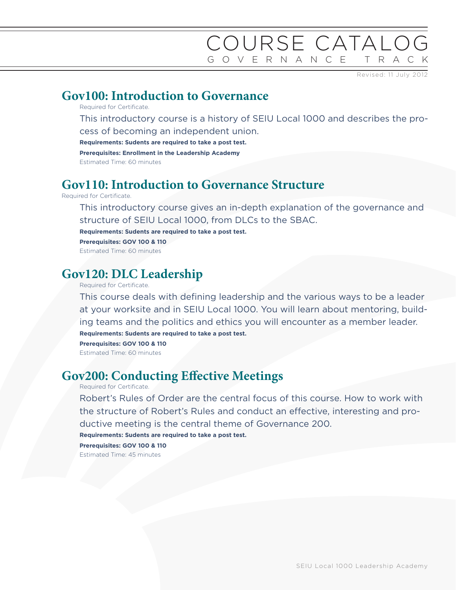## COURSE CATALOG GOVERNANCE TRACK

Revised: 11 July 2012

#### **Gov100: Introduction to Governance**

Required for Certificate.

This introductory course is a history of SEIU Local 1000 and describes the process of becoming an independent union.

**Requirements: Sudents are required to take a post test.**

**Prerequisites: Enrollment in the Leadership Academy**

Estimated Time: 60 minutes

#### **Gov110: Introduction to Governance Structure**

Required for Certificate.

This introductory course gives an in-depth explanation of the governance and structure of SEIU Local 1000, from DLCs to the SBAC.

**Requirements: Sudents are required to take a post test.**

**Prerequisites: GOV 100 & 110** Estimated Time: 60 minutes

### **Gov120: DLC Leadership**

Required for Certificate.

This course deals with defining leadership and the various ways to be a leader at your worksite and in SEIU Local 1000. You will learn about mentoring, building teams and the politics and ethics you will encounter as a member leader.

**Requirements: Sudents are required to take a post test.**

**Prerequisites: GOV 100 & 110**

Estimated Time: 60 minutes

#### **Gov200: Conducting Effective Meetings**

Required for Certificate.

Robert's Rules of Order are the central focus of this course. How to work with the structure of Robert's Rules and conduct an effective, interesting and productive meeting is the central theme of Governance 200.

**Requirements: Sudents are required to take a post test.**

**Prerequisites: GOV 100 & 110**

Estimated Time: 45 minutes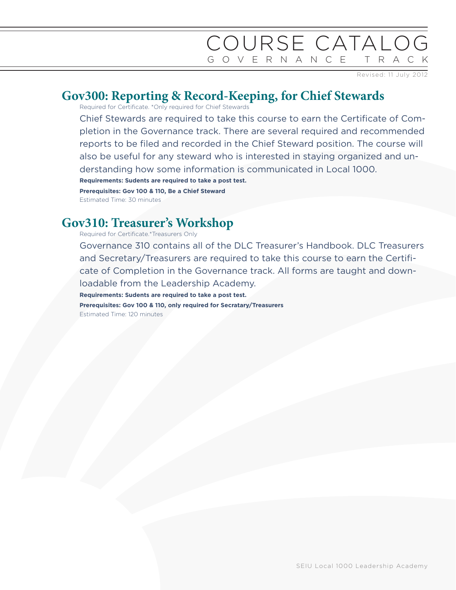# COURSE CATALOG GOVERNANCE TRACK

Revised: 11 July 2012

## **Gov300: Reporting & Record-Keeping, for Chief Stewards**

Required for Certificate. \*Only required for Chief Stewards

Chief Stewards are required to take this course to earn the Certificate of Completion in the Governance track. There are several required and recommended reports to be filed and recorded in the Chief Steward position. The course will also be useful for any steward who is interested in staying organized and understanding how some information is communicated in Local 1000. **Requirements: Sudents are required to take a post test.**

**Prerequisites: Gov 100 & 110, Be a Chief Steward**

Estimated Time: 30 minutes

## **Gov310: Treasurer's Workshop**

Required for Certificate.\*Treasurers Only

Governance 310 contains all of the DLC Treasurer's Handbook. DLC Treasurers and Secretary/Treasurers are required to take this course to earn the Certificate of Completion in the Governance track. All forms are taught and downloadable from the Leadership Academy. **Requirements: Sudents are required to take a post test. Prerequisites: Gov 100 & 110, only required for Secratary/Treasurers** Estimated Time: 120 minutes